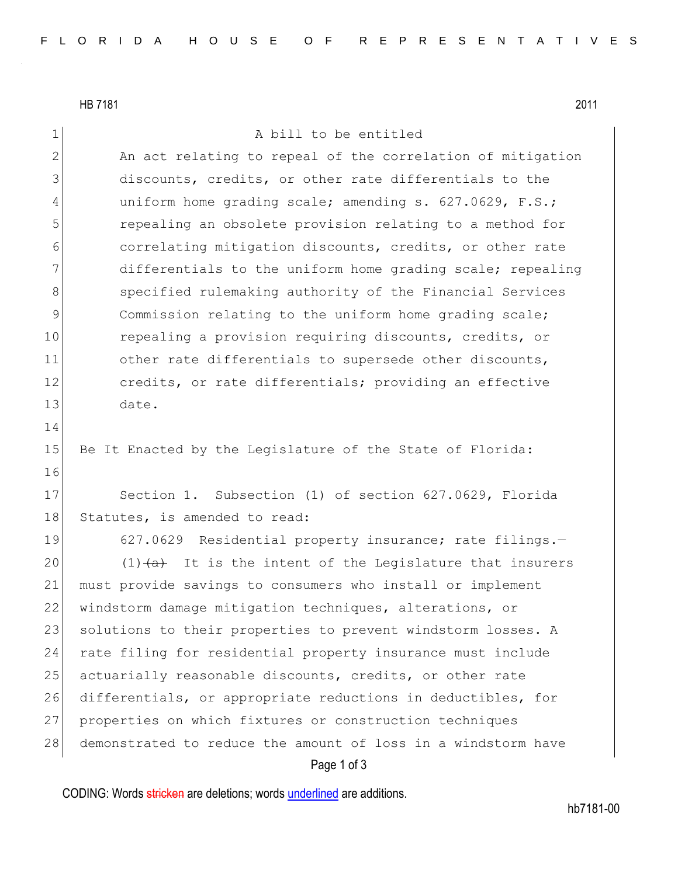HB 7181 2011

16

1 A bill to be entitled

2 An act relating to repeal of the correlation of mitigation 3 discounts, credits, or other rate differentials to the 4 uniform home grading scale; amending s. 627.0629, F.S.; 5 repealing an obsolete provision relating to a method for 6 correlating mitigation discounts, credits, or other rate 7 differentials to the uniform home grading scale; repealing 8 Specified rulemaking authority of the Financial Services 9 Sommission relating to the uniform home grading scale; 10 repealing a provision requiring discounts, credits, or 11 other rate differentials to supersede other discounts, 12 credits, or rate differentials; providing an effective 13 date. 14

15 Be It Enacted by the Legislature of the State of Florida:

17 Section 1. Subsection (1) of section 627.0629, Florida 18 Statutes, is amended to read:

19 627.0629 Residential property insurance; rate filings.-20  $(1)$   $\leftarrow$  1t is the intent of the Legislature that insurers 21 must provide savings to consumers who install or implement 22 windstorm damage mitigation techniques, alterations, or 23 solutions to their properties to prevent windstorm losses. A 24 rate filing for residential property insurance must include 25 actuarially reasonable discounts, credits, or other rate 26 differentials, or appropriate reductions in deductibles, for 27 properties on which fixtures or construction techniques 28 demonstrated to reduce the amount of loss in a windstorm have

## Page 1 of 3

CODING: Words stricken are deletions; words underlined are additions.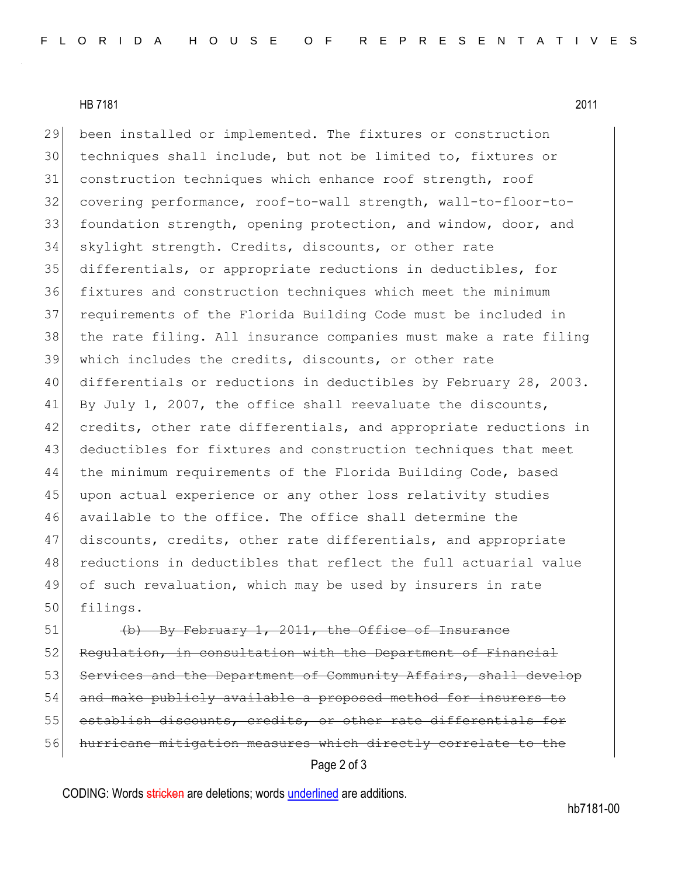HB 7181 2011

 been installed or implemented. The fixtures or construction techniques shall include, but not be limited to, fixtures or construction techniques which enhance roof strength, roof covering performance, roof-to-wall strength, wall-to-floor-to-33 foundation strength, opening protection, and window, door, and skylight strength. Credits, discounts, or other rate differentials, or appropriate reductions in deductibles, for fixtures and construction techniques which meet the minimum requirements of the Florida Building Code must be included in the rate filing. All insurance companies must make a rate filing which includes the credits, discounts, or other rate differentials or reductions in deductibles by February 28, 2003. 41 By July 1, 2007, the office shall reevaluate the discounts, 42 credits, other rate differentials, and appropriate reductions in deductibles for fixtures and construction techniques that meet 44 the minimum requirements of the Florida Building Code, based upon actual experience or any other loss relativity studies available to the office. The office shall determine the discounts, credits, other rate differentials, and appropriate reductions in deductibles that reflect the full actuarial value of such revaluation, which may be used by insurers in rate 50 filings.

Page 2 of 3 51 (b) By February 1, 2011, the Office of Insurance 52 Regulation, in consultation with the Department of Financial 53 Services and the Department of Community Affairs, shall develop 54 and make publicly available a proposed method for insurers to 55 establish discounts, credits, or other rate differentials for 56 hurricane mitigation measures which directly correlate to the

CODING: Words stricken are deletions; words underlined are additions.